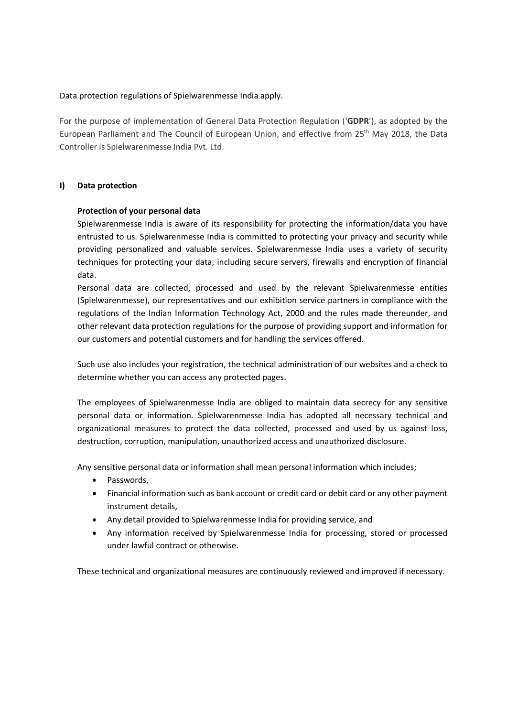## Data protection regulations of Spielwarenmesse India apply.

For the purpose of implementation of General Data Protection Regulation ('GDPR'), as adopted by the European Parliament and The Council of European Union, and effective from 25th May 2018, the Data Controller is Spielwarenmesse India Pvt. Ltd.

## I) Data protection

## Protection of your personal data

Spielwarenmesse India is aware of its responsibility for protecting the information/data you have entrusted to us. Spielwarenmesse India is committed to protecting your privacy and security while providing personalized and valuable services. Spielwarenmesse India uses a variety of security techniques for protecting your data, including secure servers, firewalls and encryption of financial data.

Personal data are collected, processed and used by the relevant Spielwarenmesse entities (Spielwarenmesse), our representatives and our exhibition service partners in compliance with the regulations of the Indian Information Technology Act, 2000 and the rules made thereunder, and other relevant data protection regulations for the purpose of providing support and information for our customers and potential customers and for handling the services offered.

Such use also includes your registration, the technical administration of our websites and a check to determine whether you can access any protected pages.

The employees of Spielwarenmesse India are obliged to maintain data secrecy for any sensitive personal data or information. Spielwarenmesse India has adopted all necessary technical and organizational measures to protect the data collected, processed and used by us against loss, destruction, corruption, manipulation, unauthorized access and unauthorized disclosure.

Any sensitive personal data or information shall mean personal information which includes;

- Passwords,
- Financial information such as bank account or credit card or debit card or any other payment instrument details,
- Any detail provided to Spielwarenmesse India for providing service, and
- Any information received by Spielwarenmesse India for processing, stored or processed under lawful contract or otherwise.

These technical and organizational measures are continuously reviewed and improved if necessary.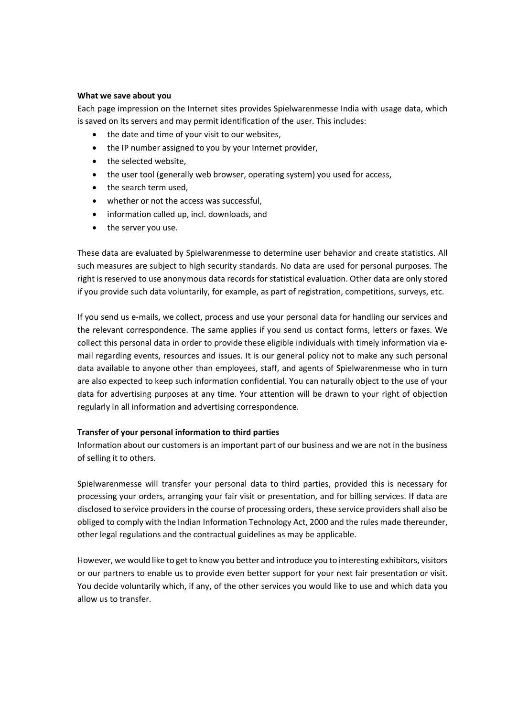#### What we save about you

Each page impression on the Internet sites provides Spielwarenmesse India with usage data, which is saved on its servers and may permit identification of the user. This includes:

- the date and time of your visit to our websites,
- the IP number assigned to you by your Internet provider,
- the selected website,
- the user tool (generally web browser, operating system) you used for access,
- the search term used,
- whether or not the access was successful,
- information called up, incl. downloads, and
- the server you use.

These data are evaluated by Spielwarenmesse to determine user behavior and create statistics. All such measures are subject to high security standards. No data are used for personal purposes. The right is reserved to use anonymous data records for statistical evaluation. Other data are only stored if you provide such data voluntarily, for example, as part of registration, competitions, surveys, etc.

If you send us e-mails, we collect, process and use your personal data for handling our services and the relevant correspondence. The same applies if you send us contact forms, letters or faxes. We collect this personal data in order to provide these eligible individuals with timely information via email regarding events, resources and issues. It is our general policy not to make any such personal data available to anyone other than employees, staff, and agents of Spielwarenmesse who in turn are also expected to keep such information confidential. You can naturally object to the use of your data for advertising purposes at any time. Your attention will be drawn to your right of objection regularly in all information and advertising correspondence.

## Transfer of your personal information to third parties

Information about our customers is an important part of our business and we are not in the business of selling it to others.

Spielwarenmesse will transfer your personal data to third parties, provided this is necessary for processing your orders, arranging your fair visit or presentation, and for billing services. If data are disclosed to service providers in the course of processing orders, these service providers shall also be obliged to comply with the Indian Information Technology Act, 2000 and the rules made thereunder, other legal regulations and the contractual guidelines as may be applicable.

However, we would like to get to know you better and introduce you to interesting exhibitors, visitors or our partners to enable us to provide even better support for your next fair presentation or visit. You decide voluntarily which, if any, of the other services you would like to use and which data you allow us to transfer.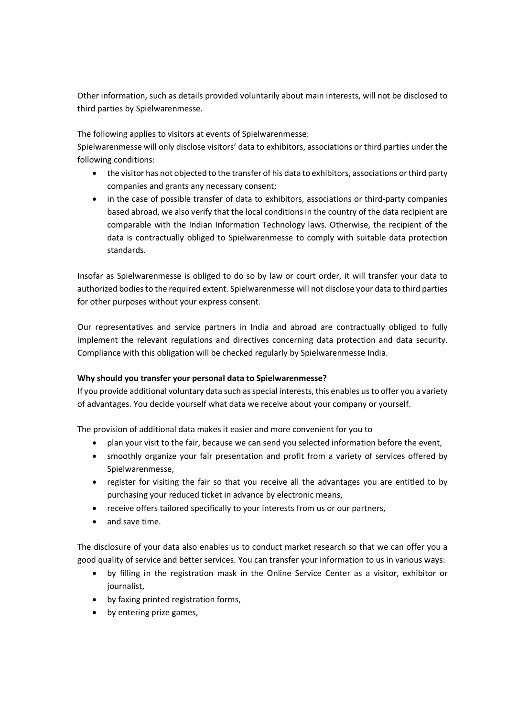Other information, such as details provided voluntarily about main interests, will not be disclosed to third parties by Spielwarenmesse.

The following applies to visitors at events of Spielwarenmesse:

Spielwarenmesse will only disclose visitors' data to exhibitors, associations or third parties under the following conditions:

- the visitor has not objected to the transfer of his data to exhibitors, associations or third party companies and grants any necessary consent;
- in the case of possible transfer of data to exhibitors, associations or third-party companies based abroad, we also verify that the local conditions in the country of the data recipient are comparable with the Indian Information Technology laws. Otherwise, the recipient of the data is contractually obliged to Spielwarenmesse to comply with suitable data protection standards.

Insofar as Spielwarenmesse is obliged to do so by law or court order, it will transfer your data to authorized bodies to the required extent. Spielwarenmesse will not disclose your data to third parties for other purposes without your express consent.

Our representatives and service partners in India and abroad are contractually obliged to fully implement the relevant regulations and directives concerning data protection and data security. Compliance with this obligation will be checked regularly by Spielwarenmesse India.

## Why should you transfer your personal data to Spielwarenmesse?

If you provide additional voluntary data such as special interests, this enables us to offer you a variety of advantages. You decide yourself what data we receive about your company or yourself.

The provision of additional data makes it easier and more convenient for you to

- plan your visit to the fair, because we can send you selected information before the event,
- smoothly organize your fair presentation and profit from a variety of services offered by Spielwarenmesse,
- register for visiting the fair so that you receive all the advantages you are entitled to by purchasing your reduced ticket in advance by electronic means,
- receive offers tailored specifically to your interests from us or our partners,
- and save time.

The disclosure of your data also enables us to conduct market research so that we can offer you a good quality of service and better services. You can transfer your information to us in various ways:

- by filling in the registration mask in the Online Service Center as a visitor, exhibitor or journalist,
- by faxing printed registration forms,
- by entering prize games,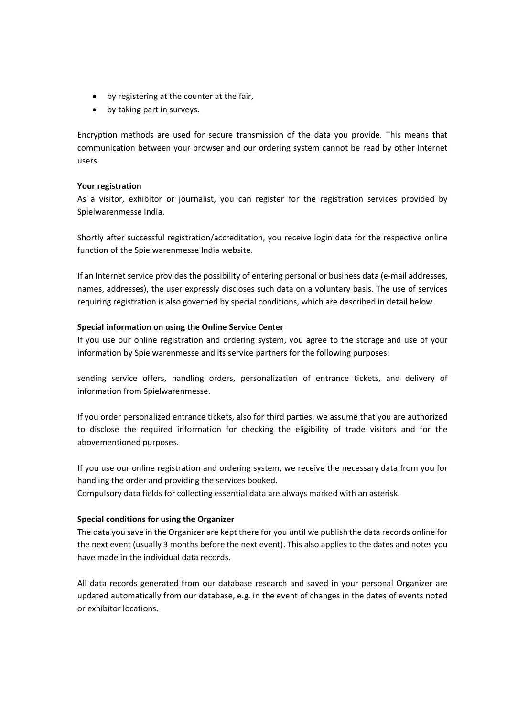- by registering at the counter at the fair,
- by taking part in surveys.

Encryption methods are used for secure transmission of the data you provide. This means that communication between your browser and our ordering system cannot be read by other Internet users.

## Your registration

As a visitor, exhibitor or journalist, you can register for the registration services provided by Spielwarenmesse India.

Shortly after successful registration/accreditation, you receive login data for the respective online function of the Spielwarenmesse India website.

If an Internet service provides the possibility of entering personal or business data (e-mail addresses, names, addresses), the user expressly discloses such data on a voluntary basis. The use of services requiring registration is also governed by special conditions, which are described in detail below.

### Special information on using the Online Service Center

If you use our online registration and ordering system, you agree to the storage and use of your information by Spielwarenmesse and its service partners for the following purposes:

sending service offers, handling orders, personalization of entrance tickets, and delivery of information from Spielwarenmesse.

If you order personalized entrance tickets, also for third parties, we assume that you are authorized to disclose the required information for checking the eligibility of trade visitors and for the abovementioned purposes.

If you use our online registration and ordering system, we receive the necessary data from you for handling the order and providing the services booked.

Compulsory data fields for collecting essential data are always marked with an asterisk.

## Special conditions for using the Organizer

The data you save in the Organizer are kept there for you until we publish the data records online for the next event (usually 3 months before the next event). This also applies to the dates and notes you have made in the individual data records.

All data records generated from our database research and saved in your personal Organizer are updated automatically from our database, e.g. in the event of changes in the dates of events noted or exhibitor locations.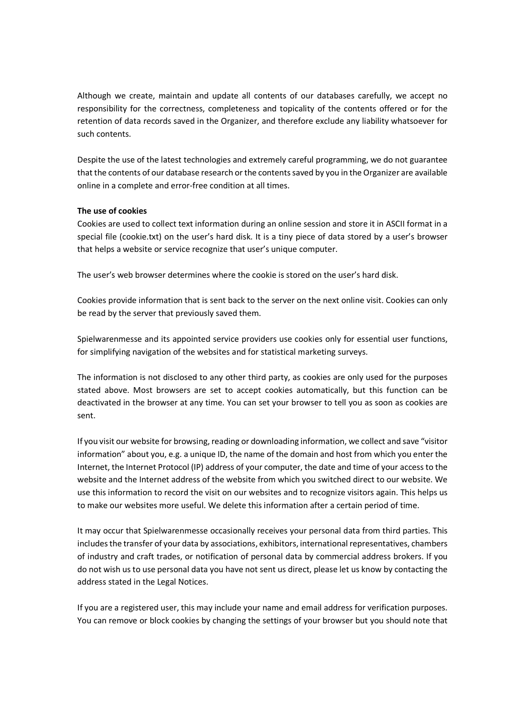Although we create, maintain and update all contents of our databases carefully, we accept no responsibility for the correctness, completeness and topicality of the contents offered or for the retention of data records saved in the Organizer, and therefore exclude any liability whatsoever for such contents.

Despite the use of the latest technologies and extremely careful programming, we do not guarantee that the contents of our database research or the contents saved by you in the Organizer are available online in a complete and error-free condition at all times.

### The use of cookies

Cookies are used to collect text information during an online session and store it in ASCII format in a special file (cookie.txt) on the user's hard disk. It is a tiny piece of data stored by a user's browser that helps a website or service recognize that user's unique computer.

The user's web browser determines where the cookie is stored on the user's hard disk.

Cookies provide information that is sent back to the server on the next online visit. Cookies can only be read by the server that previously saved them.

Spielwarenmesse and its appointed service providers use cookies only for essential user functions, for simplifying navigation of the websites and for statistical marketing surveys.

The information is not disclosed to any other third party, as cookies are only used for the purposes stated above. Most browsers are set to accept cookies automatically, but this function can be deactivated in the browser at any time. You can set your browser to tell you as soon as cookies are sent.

If you visit our website for browsing, reading or downloading information, we collect and save "visitor information" about you, e.g. a unique ID, the name of the domain and host from which you enter the Internet, the Internet Protocol (IP) address of your computer, the date and time of your access to the website and the Internet address of the website from which you switched direct to our website. We use this information to record the visit on our websites and to recognize visitors again. This helps us to make our websites more useful. We delete this information after a certain period of time.

It may occur that Spielwarenmesse occasionally receives your personal data from third parties. This includes the transfer of your data by associations, exhibitors, international representatives, chambers of industry and craft trades, or notification of personal data by commercial address brokers. If you do not wish us to use personal data you have not sent us direct, please let us know by contacting the address stated in the Legal Notices.

If you are a registered user, this may include your name and email address for verification purposes. You can remove or block cookies by changing the settings of your browser but you should note that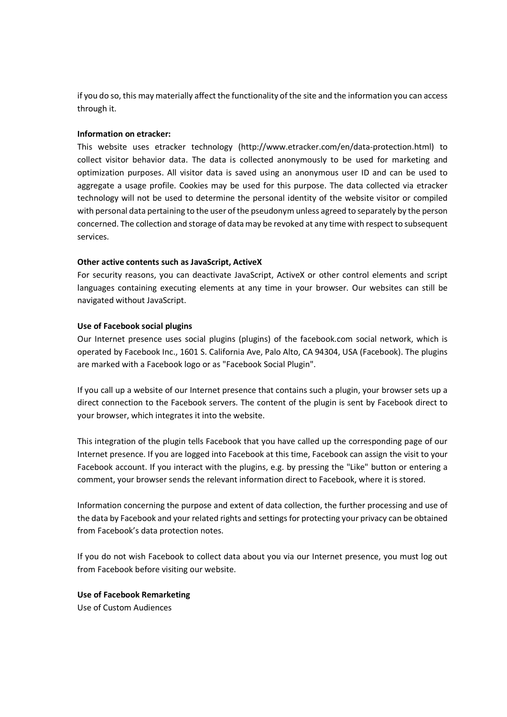if you do so, this may materially affect the functionality of the site and the information you can access through it.

### Information on etracker:

This website uses etracker technology (http://www.etracker.com/en/data-protection.html) to collect visitor behavior data. The data is collected anonymously to be used for marketing and optimization purposes. All visitor data is saved using an anonymous user ID and can be used to aggregate a usage profile. Cookies may be used for this purpose. The data collected via etracker technology will not be used to determine the personal identity of the website visitor or compiled with personal data pertaining to the user of the pseudonym unless agreed to separately by the person concerned. The collection and storage of data may be revoked at any time with respect to subsequent services.

### Other active contents such as JavaScript, ActiveX

For security reasons, you can deactivate JavaScript, ActiveX or other control elements and script languages containing executing elements at any time in your browser. Our websites can still be navigated without JavaScript.

### Use of Facebook social plugins

Our Internet presence uses social plugins (plugins) of the facebook.com social network, which is operated by Facebook Inc., 1601 S. California Ave, Palo Alto, CA 94304, USA (Facebook). The plugins are marked with a Facebook logo or as "Facebook Social Plugin".

If you call up a website of our Internet presence that contains such a plugin, your browser sets up a direct connection to the Facebook servers. The content of the plugin is sent by Facebook direct to your browser, which integrates it into the website.

This integration of the plugin tells Facebook that you have called up the corresponding page of our Internet presence. If you are logged into Facebook at this time, Facebook can assign the visit to your Facebook account. If you interact with the plugins, e.g. by pressing the "Like" button or entering a comment, your browser sends the relevant information direct to Facebook, where it is stored.

Information concerning the purpose and extent of data collection, the further processing and use of the data by Facebook and your related rights and settings for protecting your privacy can be obtained from Facebook's data protection notes.

If you do not wish Facebook to collect data about you via our Internet presence, you must log out from Facebook before visiting our website.

Use of Facebook Remarketing Use of Custom Audiences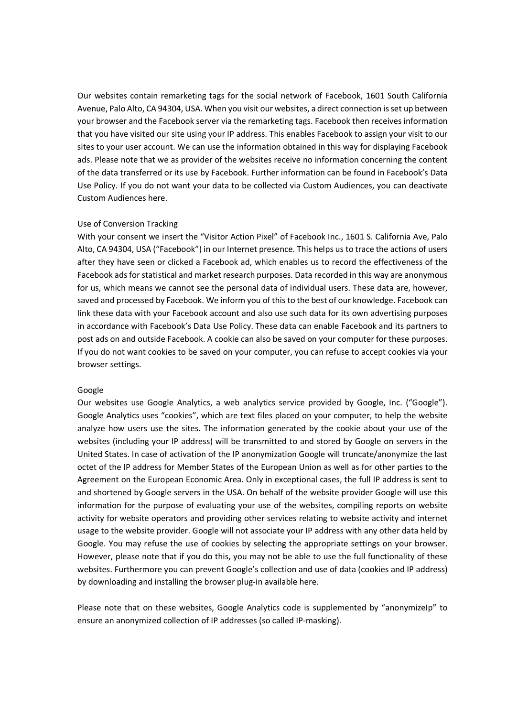Our websites contain remarketing tags for the social network of Facebook, 1601 South California Avenue, Palo Alto, CA 94304, USA. When you visit our websites, a direct connection is set up between your browser and the Facebook server via the remarketing tags. Facebook then receives information that you have visited our site using your IP address. This enables Facebook to assign your visit to our sites to your user account. We can use the information obtained in this way for displaying Facebook ads. Please note that we as provider of the websites receive no information concerning the content of the data transferred or its use by Facebook. Further information can be found in Facebook's Data Use Policy. If you do not want your data to be collected via Custom Audiences, you can deactivate Custom Audiences here.

#### Use of Conversion Tracking

With your consent we insert the "Visitor Action Pixel" of Facebook Inc., 1601 S. California Ave, Palo Alto, CA 94304, USA ("Facebook") in our Internet presence. This helps us to trace the actions of users after they have seen or clicked a Facebook ad, which enables us to record the effectiveness of the Facebook ads for statistical and market research purposes. Data recorded in this way are anonymous for us, which means we cannot see the personal data of individual users. These data are, however, saved and processed by Facebook. We inform you of this to the best of our knowledge. Facebook can link these data with your Facebook account and also use such data for its own advertising purposes in accordance with Facebook's Data Use Policy. These data can enable Facebook and its partners to post ads on and outside Facebook. A cookie can also be saved on your computer for these purposes. If you do not want cookies to be saved on your computer, you can refuse to accept cookies via your browser settings.

#### Google

Our websites use Google Analytics, a web analytics service provided by Google, Inc. ("Google"). Google Analytics uses "cookies", which are text files placed on your computer, to help the website analyze how users use the sites. The information generated by the cookie about your use of the websites (including your IP address) will be transmitted to and stored by Google on servers in the United States. In case of activation of the IP anonymization Google will truncate/anonymize the last octet of the IP address for Member States of the European Union as well as for other parties to the Agreement on the European Economic Area. Only in exceptional cases, the full IP address is sent to and shortened by Google servers in the USA. On behalf of the website provider Google will use this information for the purpose of evaluating your use of the websites, compiling reports on website activity for website operators and providing other services relating to website activity and internet usage to the website provider. Google will not associate your IP address with any other data held by Google. You may refuse the use of cookies by selecting the appropriate settings on your browser. However, please note that if you do this, you may not be able to use the full functionality of these websites. Furthermore you can prevent Google's collection and use of data (cookies and IP address) by downloading and installing the browser plug-in available here.

Please note that on these websites, Google Analytics code is supplemented by "anonymizelp" to ensure an anonymized collection of IP addresses (so called IP-masking).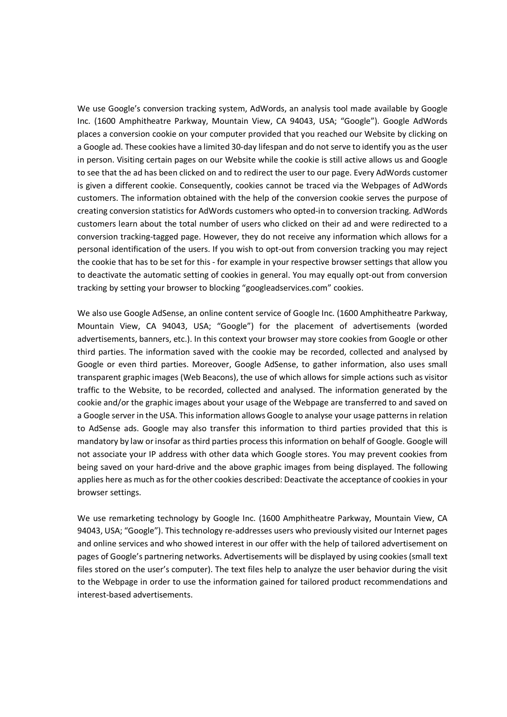We use Google's conversion tracking system, AdWords, an analysis tool made available by Google Inc. (1600 Amphitheatre Parkway, Mountain View, CA 94043, USA; "Google"). Google AdWords places a conversion cookie on your computer provided that you reached our Website by clicking on a Google ad. These cookies have a limited 30-day lifespan and do not serve to identify you as the user in person. Visiting certain pages on our Website while the cookie is still active allows us and Google to see that the ad has been clicked on and to redirect the user to our page. Every AdWords customer is given a different cookie. Consequently, cookies cannot be traced via the Webpages of AdWords customers. The information obtained with the help of the conversion cookie serves the purpose of creating conversion statistics for AdWords customers who opted-in to conversion tracking. AdWords customers learn about the total number of users who clicked on their ad and were redirected to a conversion tracking-tagged page. However, they do not receive any information which allows for a personal identification of the users. If you wish to opt-out from conversion tracking you may reject the cookie that has to be set for this - for example in your respective browser settings that allow you to deactivate the automatic setting of cookies in general. You may equally opt-out from conversion tracking by setting your browser to blocking "googleadservices.com" cookies.

We also use Google AdSense, an online content service of Google Inc. (1600 Amphitheatre Parkway, Mountain View, CA 94043, USA; "Google") for the placement of advertisements (worded advertisements, banners, etc.). In this context your browser may store cookies from Google or other third parties. The information saved with the cookie may be recorded, collected and analysed by Google or even third parties. Moreover, Google AdSense, to gather information, also uses small transparent graphic images (Web Beacons), the use of which allows for simple actions such as visitor traffic to the Website, to be recorded, collected and analysed. The information generated by the cookie and/or the graphic images about your usage of the Webpage are transferred to and saved on a Google server in the USA. This information allows Google to analyse your usage patterns in relation to AdSense ads. Google may also transfer this information to third parties provided that this is mandatory by law or insofar as third parties process this information on behalf of Google. Google will not associate your IP address with other data which Google stores. You may prevent cookies from being saved on your hard-drive and the above graphic images from being displayed. The following applies here as much as for the other cookies described: Deactivate the acceptance of cookies in your browser settings.

We use remarketing technology by Google Inc. (1600 Amphitheatre Parkway, Mountain View, CA 94043, USA; "Google"). This technology re-addresses users who previously visited our Internet pages and online services and who showed interest in our offer with the help of tailored advertisement on pages of Google's partnering networks. Advertisements will be displayed by using cookies (small text files stored on the user's computer). The text files help to analyze the user behavior during the visit to the Webpage in order to use the information gained for tailored product recommendations and interest-based advertisements.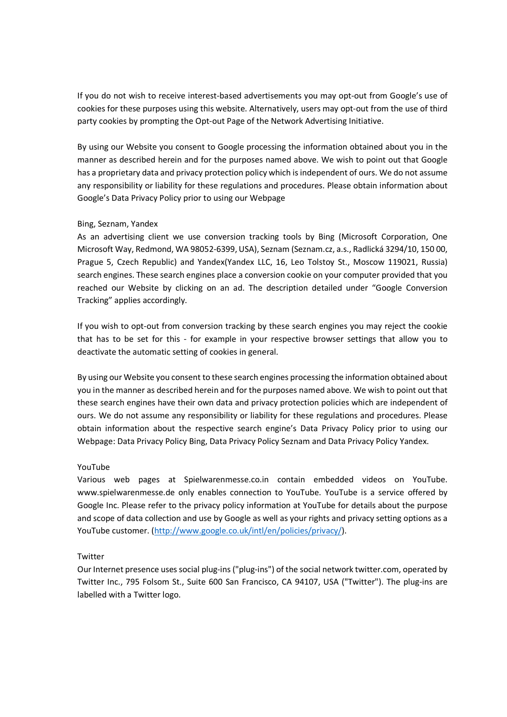If you do not wish to receive interest-based advertisements you may opt-out from Google's use of cookies for these purposes using this website. Alternatively, users may opt-out from the use of third party cookies by prompting the Opt-out Page of the Network Advertising Initiative.

By using our Website you consent to Google processing the information obtained about you in the manner as described herein and for the purposes named above. We wish to point out that Google has a proprietary data and privacy protection policy which is independent of ours. We do not assume any responsibility or liability for these regulations and procedures. Please obtain information about Google's Data Privacy Policy prior to using our Webpage

## Bing, Seznam, Yandex

As an advertising client we use conversion tracking tools by Bing (Microsoft Corporation, One Microsoft Way, Redmond, WA 98052-6399, USA), Seznam (Seznam.cz, a.s., Radlická 3294/10, 150 00, Prague 5, Czech Republic) and Yandex(Yandex LLC, 16, Leo Tolstoy St., Moscow 119021, Russia) search engines. These search engines place a conversion cookie on your computer provided that you reached our Website by clicking on an ad. The description detailed under "Google Conversion Tracking" applies accordingly.

If you wish to opt-out from conversion tracking by these search engines you may reject the cookie that has to be set for this - for example in your respective browser settings that allow you to deactivate the automatic setting of cookies in general.

By using our Website you consent to these search engines processing the information obtained about you in the manner as described herein and for the purposes named above. We wish to point out that these search engines have their own data and privacy protection policies which are independent of ours. We do not assume any responsibility or liability for these regulations and procedures. Please obtain information about the respective search engine's Data Privacy Policy prior to using our Webpage: Data Privacy Policy Bing, Data Privacy Policy Seznam and Data Privacy Policy Yandex.

#### YouTube

Various web pages at Spielwarenmesse.co.in contain embedded videos on YouTube. www.spielwarenmesse.de only enables connection to YouTube. YouTube is a service offered by Google Inc. Please refer to the privacy policy information at YouTube for details about the purpose and scope of data collection and use by Google as well as your rights and privacy setting options as a YouTube customer. (http://www.google.co.uk/intl/en/policies/privacy/).

## Twitter

Our Internet presence uses social plug-ins ("plug-ins") of the social network twitter.com, operated by Twitter Inc., 795 Folsom St., Suite 600 San Francisco, CA 94107, USA ("Twitter"). The plug-ins are labelled with a Twitter logo.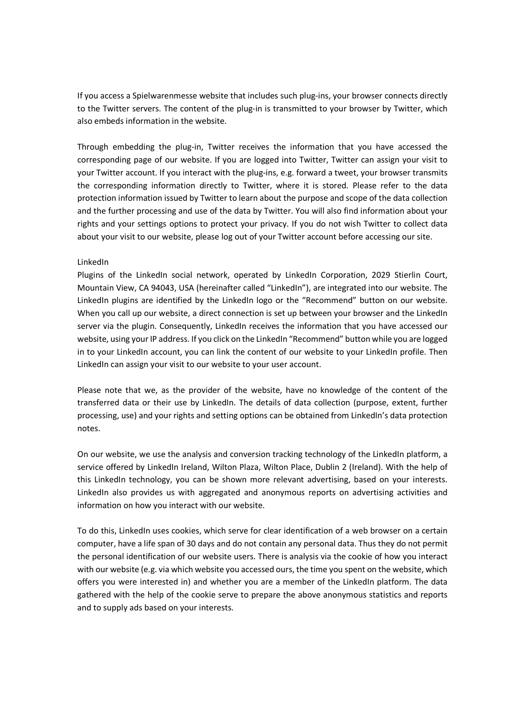If you access a Spielwarenmesse website that includes such plug-ins, your browser connects directly to the Twitter servers. The content of the plug-in is transmitted to your browser by Twitter, which also embeds information in the website.

Through embedding the plug-in, Twitter receives the information that you have accessed the corresponding page of our website. If you are logged into Twitter, Twitter can assign your visit to your Twitter account. If you interact with the plug-ins, e.g. forward a tweet, your browser transmits the corresponding information directly to Twitter, where it is stored. Please refer to the data protection information issued by Twitter to learn about the purpose and scope of the data collection and the further processing and use of the data by Twitter. You will also find information about your rights and your settings options to protect your privacy. If you do not wish Twitter to collect data about your visit to our website, please log out of your Twitter account before accessing our site.

### LinkedIn

Plugins of the LinkedIn social network, operated by LinkedIn Corporation, 2029 Stierlin Court, Mountain View, CA 94043, USA (hereinafter called "LinkedIn"), are integrated into our website. The LinkedIn plugins are identified by the LinkedIn logo or the "Recommend" button on our website. When you call up our website, a direct connection is set up between your browser and the LinkedIn server via the plugin. Consequently, LinkedIn receives the information that you have accessed our website, using your IP address. If you click on the LinkedIn "Recommend" button while you are logged in to your LinkedIn account, you can link the content of our website to your LinkedIn profile. Then LinkedIn can assign your visit to our website to your user account.

Please note that we, as the provider of the website, have no knowledge of the content of the transferred data or their use by LinkedIn. The details of data collection (purpose, extent, further processing, use) and your rights and setting options can be obtained from LinkedIn's data protection notes.

On our website, we use the analysis and conversion tracking technology of the LinkedIn platform, a service offered by LinkedIn Ireland, Wilton Plaza, Wilton Place, Dublin 2 (Ireland). With the help of this LinkedIn technology, you can be shown more relevant advertising, based on your interests. LinkedIn also provides us with aggregated and anonymous reports on advertising activities and information on how you interact with our website.

To do this, LinkedIn uses cookies, which serve for clear identification of a web browser on a certain computer, have a life span of 30 days and do not contain any personal data. Thus they do not permit the personal identification of our website users. There is analysis via the cookie of how you interact with our website (e.g. via which website you accessed ours, the time you spent on the website, which offers you were interested in) and whether you are a member of the LinkedIn platform. The data gathered with the help of the cookie serve to prepare the above anonymous statistics and reports and to supply ads based on your interests.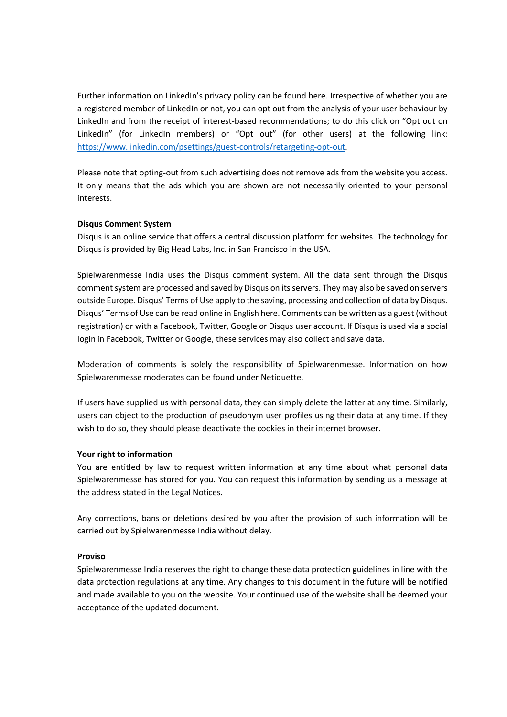Further information on LinkedIn's privacy policy can be found here. Irrespective of whether you are a registered member of LinkedIn or not, you can opt out from the analysis of your user behaviour by LinkedIn and from the receipt of interest-based recommendations; to do this click on "Opt out on LinkedIn" (for LinkedIn members) or "Opt out" (for other users) at the following link: https://www.linkedin.com/psettings/guest-controls/retargeting-opt-out.

Please note that opting-out from such advertising does not remove ads from the website you access. It only means that the ads which you are shown are not necessarily oriented to your personal interests.

## Disqus Comment System

Disqus is an online service that offers a central discussion platform for websites. The technology for Disqus is provided by Big Head Labs, Inc. in San Francisco in the USA.

Spielwarenmesse India uses the Disqus comment system. All the data sent through the Disqus comment system are processed and saved by Disqus on its servers. They may also be saved on servers outside Europe. Disqus' Terms of Use apply to the saving, processing and collection of data by Disqus. Disqus' Terms of Use can be read online in English here. Comments can be written as a guest (without registration) or with a Facebook, Twitter, Google or Disqus user account. If Disqus is used via a social login in Facebook, Twitter or Google, these services may also collect and save data.

Moderation of comments is solely the responsibility of Spielwarenmesse. Information on how Spielwarenmesse moderates can be found under Netiquette.

If users have supplied us with personal data, they can simply delete the latter at any time. Similarly, users can object to the production of pseudonym user profiles using their data at any time. If they wish to do so, they should please deactivate the cookies in their internet browser.

#### Your right to information

You are entitled by law to request written information at any time about what personal data Spielwarenmesse has stored for you. You can request this information by sending us a message at the address stated in the Legal Notices.

Any corrections, bans or deletions desired by you after the provision of such information will be carried out by Spielwarenmesse India without delay.

#### Proviso

Spielwarenmesse India reserves the right to change these data protection guidelines in line with the data protection regulations at any time. Any changes to this document in the future will be notified and made available to you on the website. Your continued use of the website shall be deemed your acceptance of the updated document.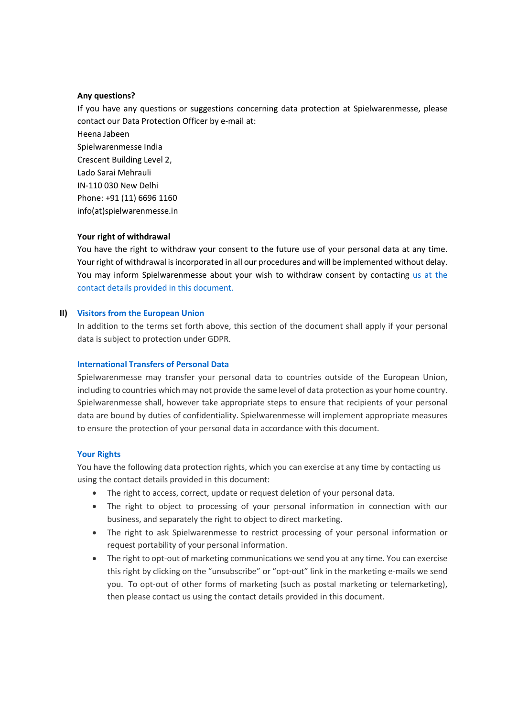#### Any questions?

If you have any questions or suggestions concerning data protection at Spielwarenmesse, please contact our Data Protection Officer by e-mail at:

Heena Jabeen Spielwarenmesse India Crescent Building Level 2, Lado Sarai Mehrauli IN-110 030 New Delhi Phone: +91 (11) 6696 1160 info(at)spielwarenmesse.in

#### Your right of withdrawal

You have the right to withdraw your consent to the future use of your personal data at any time. Your right of withdrawal is incorporated in all our procedures and will be implemented without delay. You may inform Spielwarenmesse about your wish to withdraw consent by contacting us at the contact details provided in this document.

#### II) Visitors from the European Union

In addition to the terms set forth above, this section of the document shall apply if your personal data is subject to protection under GDPR.

#### International Transfers of Personal Data

Spielwarenmesse may transfer your personal data to countries outside of the European Union, including to countries which may not provide the same level of data protection as your home country. Spielwarenmesse shall, however take appropriate steps to ensure that recipients of your personal data are bound by duties of confidentiality. Spielwarenmesse will implement appropriate measures to ensure the protection of your personal data in accordance with this document.

#### Your Rights

You have the following data protection rights, which you can exercise at any time by contacting us using the contact details provided in this document:

- The right to access, correct, update or request deletion of your personal data.
- The right to object to processing of your personal information in connection with our business, and separately the right to object to direct marketing.
- The right to ask Spielwarenmesse to restrict processing of your personal information or request portability of your personal information.
- The right to opt-out of marketing communications we send you at any time. You can exercise this right by clicking on the "unsubscribe" or "opt-out" link in the marketing e-mails we send you. To opt-out of other forms of marketing (such as postal marketing or telemarketing), then please contact us using the contact details provided in this document.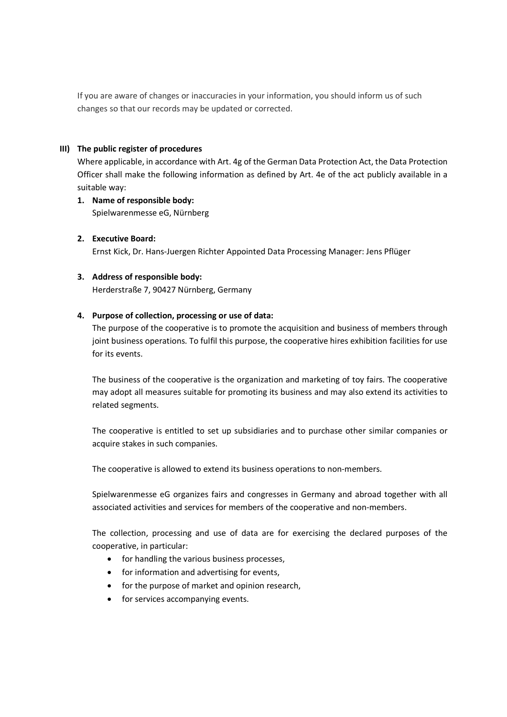If you are aware of changes or inaccuracies in your information, you should inform us of such changes so that our records may be updated or corrected.

### III) The public register of procedures

Where applicable, in accordance with Art. 4g of the German Data Protection Act, the Data Protection Officer shall make the following information as defined by Art. 4e of the act publicly available in a suitable way:

- 1. Name of responsible body: Spielwarenmesse eG, Nürnberg
- 2. Executive Board: Ernst Kick, Dr. Hans-Juergen Richter Appointed Data Processing Manager: Jens Pflüger

## 3. Address of responsible body:

Herderstraße 7, 90427 Nürnberg, Germany

### 4. Purpose of collection, processing or use of data:

The purpose of the cooperative is to promote the acquisition and business of members through joint business operations. To fulfil this purpose, the cooperative hires exhibition facilities for use for its events.

The business of the cooperative is the organization and marketing of toy fairs. The cooperative may adopt all measures suitable for promoting its business and may also extend its activities to related segments.

The cooperative is entitled to set up subsidiaries and to purchase other similar companies or acquire stakes in such companies.

The cooperative is allowed to extend its business operations to non-members.

Spielwarenmesse eG organizes fairs and congresses in Germany and abroad together with all associated activities and services for members of the cooperative and non-members.

The collection, processing and use of data are for exercising the declared purposes of the cooperative, in particular:

- for handling the various business processes,
- for information and advertising for events,
- for the purpose of market and opinion research,
- for services accompanying events.